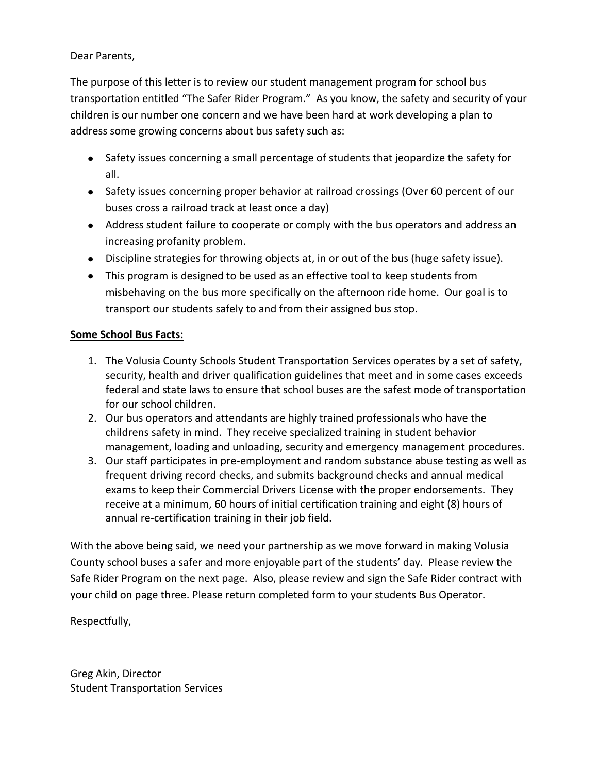Dear Parents,

The purpose of this letter is to review our student management program for school bus transportation entitled "The Safer Rider Program." As you know, the safety and security of your children is our number one concern and we have been hard at work developing a plan to address some growing concerns about bus safety such as:

- Safety issues concerning a small percentage of students that jeopardize the safety for all.
- Safety issues concerning proper behavior at railroad crossings (Over 60 percent of our buses cross a railroad track at least once a day)
- Address student failure to cooperate or comply with the bus operators and address an increasing profanity problem.
- Discipline strategies for throwing objects at, in or out of the bus (huge safety issue).
- This program is designed to be used as an effective tool to keep students from misbehaving on the bus more specifically on the afternoon ride home. Our goal is to transport our students safely to and from their assigned bus stop.

## **Some School Bus Facts:**

- 1. The Volusia County Schools Student Transportation Services operates by a set of safety, security, health and driver qualification guidelines that meet and in some cases exceeds federal and state laws to ensure that school buses are the safest mode of transportation for our school children.
- 2. Our bus operators and attendants are highly trained professionals who have the childrens safety in mind. They receive specialized training in student behavior management, loading and unloading, security and emergency management procedures.
- 3. Our staff participates in pre-employment and random substance abuse testing as well as frequent driving record checks, and submits background checks and annual medical exams to keep their Commercial Drivers License with the proper endorsements. They receive at a minimum, 60 hours of initial certification training and eight (8) hours of annual re-certification training in their job field.

With the above being said, we need your partnership as we move forward in making Volusia County school buses a safer and more enjoyable part of the students' day. Please review the Safe Rider Program on the next page. Also, please review and sign the Safe Rider contract with your child on page three. Please return completed form to your students Bus Operator.

Respectfully,

Greg Akin, Director Student Transportation Services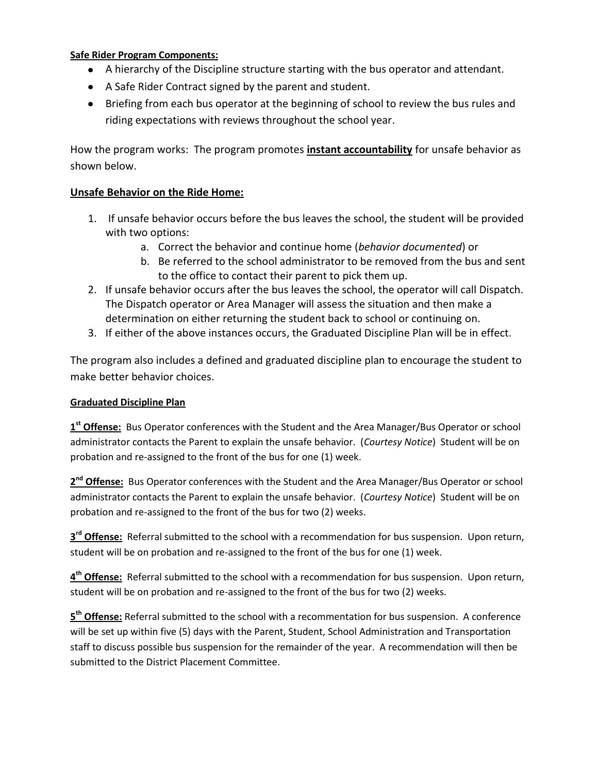## **Safe Rider Program Components:**

- A hierarchy of the Discipline structure starting with the bus operator and attendant.
- A Safe Rider Contract signed by the parent and student.
- Briefing from each bus operator at the beginning of school to review the bus rules and riding expectations with reviews throughout the school year.

How the program works: The program promotes **instant accountability** for unsafe behavior as shown below.

## **Unsafe Behavior on the Ride Home:**

- 1. If unsafe behavior occurs before the bus leaves the school, the student will be provided with two options:
	- a. Correct the behavior and continue home (*behavior documented*) or
	- b. Be referred to the school administrator to be removed from the bus and sent to the office to contact their parent to pick them up.
- 2. If unsafe behavior occurs after the bus leaves the school, the operator will call Dispatch. The Dispatch operator or Area Manager will assess the situation and then make a determination on either returning the student back to school or continuing on.
- 3. If either of the above instances occurs, the Graduated Discipline Plan will be in effect.

The program also includes a defined and graduated discipline plan to encourage the student to make better behavior choices.

## **Graduated Discipline Plan**

**1 st Offense:** Bus Operator conferences with the Student and the Area Manager/Bus Operator or school administrator contacts the Parent to explain the unsafe behavior. (*Courtesy Notice*) Student will be on probation and re-assigned to the front of the bus for one (1) week.

2<sup>nd</sup> Offense: Bus Operator conferences with the Student and the Area Manager/Bus Operator or school administrator contacts the Parent to explain the unsafe behavior. (*Courtesy Notice*) Student will be on probation and re-assigned to the front of the bus for two (2) weeks.

**3 rd Offense:** Referral submitted to the school with a recommendation for bus suspension. Upon return, student will be on probation and re-assigned to the front of the bus for one (1) week.

**4 th Offense:** Referral submitted to the school with a recommendation for bus suspension. Upon return, student will be on probation and re-assigned to the front of the bus for two (2) weeks.

**5 th Offense:** Referral submitted to the school with a recommentation for bus suspension. A conference will be set up within five (5) days with the Parent, Student, School Administration and Transportation staff to discuss possible bus suspension for the remainder of the year. A recommendation will then be submitted to the District Placement Committee.